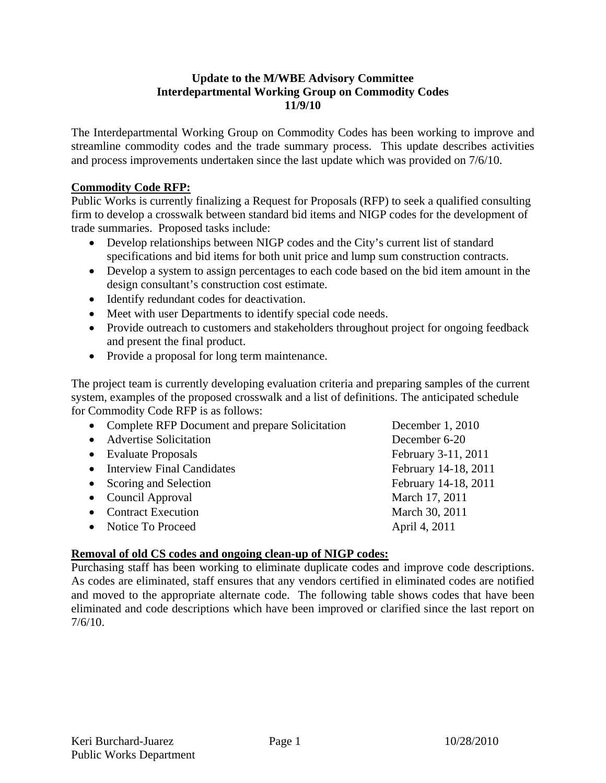#### **Update to the M/WBE Advisory Committee Interdepartmental Working Group on Commodity Codes 11/9/10**

The Interdepartmental Working Group on Commodity Codes has been working to improve and streamline commodity codes and the trade summary process. This update describes activities and process improvements undertaken since the last update which was provided on 7/6/10.

#### **Commodity Code RFP:**

Public Works is currently finalizing a Request for Proposals (RFP) to seek a qualified consulting firm to develop a crosswalk between standard bid items and NIGP codes for the development of trade summaries. Proposed tasks include:

- Develop relationships between NIGP codes and the City's current list of standard specifications and bid items for both unit price and lump sum construction contracts.
- Develop a system to assign percentages to each code based on the bid item amount in the design consultant's construction cost estimate.
- Identify redundant codes for deactivation.
- Meet with user Departments to identify special code needs.
- Provide outreach to customers and stakeholders throughout project for ongoing feedback and present the final product.
- Provide a proposal for long term maintenance.

The project team is currently developing evaluation criteria and preparing samples of the current system, examples of the proposed crosswalk and a list of definitions. The anticipated schedule for Commodity Code RFP is as follows:

| • Complete RFP Document and prepare Solicitation | December 1, 2010     |
|--------------------------------------------------|----------------------|
| • Advertise Solicitation                         | December 6-20        |
| • Evaluate Proposals                             | February 3-11, 2011  |
| • Interview Final Candidates                     | February 14-18, 2011 |
| Scoring and Selection                            | February 14-18, 2011 |
| • Council Approval                               | March 17, 2011       |
| <b>Contract Execution</b>                        | March 30, 2011       |
| • Notice To Proceed                              | April 4, 2011        |
|                                                  |                      |

#### **Removal of old CS codes and ongoing clean-up of NIGP codes:**

Purchasing staff has been working to eliminate duplicate codes and improve code descriptions. As codes are eliminated, staff ensures that any vendors certified in eliminated codes are notified and moved to the appropriate alternate code. The following table shows codes that have been eliminated and code descriptions which have been improved or clarified since the last report on 7/6/10.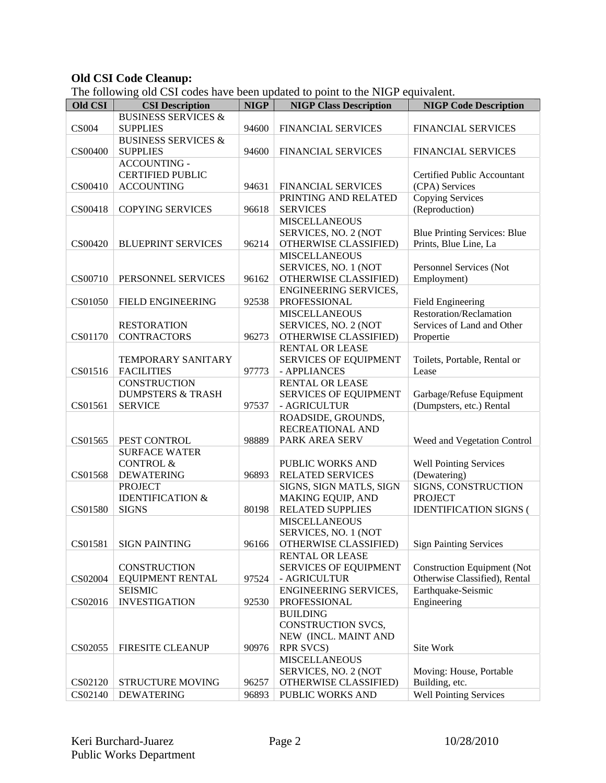#### **Old CSI Code Cleanup:**

The following old CSI codes have been updated to point to the NIGP equivalent.

| <b>Old CSI</b> | <b>CSI Description</b>         | <b>NIGP</b> | <b>NIGP Class Description</b> | <b>NIGP Code Description</b>        |
|----------------|--------------------------------|-------------|-------------------------------|-------------------------------------|
|                | <b>BUSINESS SERVICES &amp;</b> |             |                               |                                     |
| <b>CS004</b>   | <b>SUPPLIES</b>                | 94600       | <b>FINANCIAL SERVICES</b>     | FINANCIAL SERVICES                  |
|                | <b>BUSINESS SERVICES &amp;</b> |             |                               |                                     |
| CS00400        | <b>SUPPLIES</b>                | 94600       | <b>FINANCIAL SERVICES</b>     | <b>FINANCIAL SERVICES</b>           |
|                | <b>ACCOUNTING -</b>            |             |                               |                                     |
|                | <b>CERTIFIED PUBLIC</b>        |             |                               | Certified Public Accountant         |
| CS00410        | <b>ACCOUNTING</b>              | 94631       | FINANCIAL SERVICES            | (CPA) Services                      |
|                |                                |             | PRINTING AND RELATED          | <b>Copying Services</b>             |
| CS00418        | <b>COPYING SERVICES</b>        | 96618       | <b>SERVICES</b>               | (Reproduction)                      |
|                |                                |             | <b>MISCELLANEOUS</b>          |                                     |
|                |                                |             | SERVICES, NO. 2 (NOT          | <b>Blue Printing Services: Blue</b> |
| CS00420        | <b>BLUEPRINT SERVICES</b>      | 96214       | OTHERWISE CLASSIFIED)         | Prints, Blue Line, La               |
|                |                                |             | <b>MISCELLANEOUS</b>          |                                     |
|                |                                |             |                               |                                     |
|                |                                |             | SERVICES, NO. 1 (NOT          | Personnel Services (Not             |
| CS00710        | PERSONNEL SERVICES             | 96162       | OTHERWISE CLASSIFIED)         | Employment)                         |
|                |                                |             | <b>ENGINEERING SERVICES,</b>  |                                     |
| CS01050        | FIELD ENGINEERING              | 92538       | PROFESSIONAL                  | Field Engineering                   |
|                |                                |             | <b>MISCELLANEOUS</b>          | <b>Restoration/Reclamation</b>      |
|                | <b>RESTORATION</b>             |             | SERVICES, NO. 2 (NOT          | Services of Land and Other          |
| CS01170        | <b>CONTRACTORS</b>             | 96273       | OTHERWISE CLASSIFIED)         | Propertie                           |
|                |                                |             | <b>RENTAL OR LEASE</b>        |                                     |
|                | TEMPORARY SANITARY             |             | SERVICES OF EQUIPMENT         | Toilets, Portable, Rental or        |
| CS01516        | <b>FACILITIES</b>              | 97773       | - APPLIANCES                  | Lease                               |
|                | <b>CONSTRUCTION</b>            |             | RENTAL OR LEASE               |                                     |
|                | <b>DUMPSTERS &amp; TRASH</b>   |             | <b>SERVICES OF EQUIPMENT</b>  | Garbage/Refuse Equipment            |
| CS01561        | <b>SERVICE</b>                 | 97537       | - AGRICULTUR                  | (Dumpsters, etc.) Rental            |
|                |                                |             | ROADSIDE, GROUNDS,            |                                     |
|                |                                |             | RECREATIONAL AND              |                                     |
| CS01565        | PEST CONTROL                   | 98889       | PARK AREA SERV                | Weed and Vegetation Control         |
|                | <b>SURFACE WATER</b>           |             |                               |                                     |
|                | <b>CONTROL &amp;</b>           |             | PUBLIC WORKS AND              | <b>Well Pointing Services</b>       |
| CS01568        | <b>DEWATERING</b>              | 96893       | <b>RELATED SERVICES</b>       | (Dewatering)                        |
|                | <b>PROJECT</b>                 |             | SIGNS, SIGN MATLS, SIGN       | SIGNS, CONSTRUCTION                 |
|                | <b>IDENTIFICATION &amp;</b>    |             | MAKING EQUIP, AND             | <b>PROJECT</b>                      |
| CS01580        | <b>SIGNS</b>                   | 80198       | <b>RELATED SUPPLIES</b>       | <b>IDENTIFICATION SIGNS (</b>       |
|                |                                |             | <b>MISCELLANEOUS</b>          |                                     |
|                |                                |             | SERVICES, NO. 1 (NOT          |                                     |
| CS01581        | <b>SIGN PAINTING</b>           | 96166       | OTHERWISE CLASSIFIED)         | <b>Sign Painting Services</b>       |
|                |                                |             | <b>RENTAL OR LEASE</b>        |                                     |
|                | <b>CONSTRUCTION</b>            |             | <b>SERVICES OF EQUIPMENT</b>  | <b>Construction Equipment (Not</b>  |
| CS02004        | <b>EQUIPMENT RENTAL</b>        | 97524       | - AGRICULTUR                  | Otherwise Classified), Rental       |
|                | <b>SEISMIC</b>                 |             | ENGINEERING SERVICES,         | Earthquake-Seismic                  |
| CS02016        | <b>INVESTIGATION</b>           | 92530       | PROFESSIONAL                  | Engineering                         |
|                |                                |             | <b>BUILDING</b>               |                                     |
|                |                                |             | CONSTRUCTION SVCS,            |                                     |
|                |                                |             | NEW (INCL. MAINT AND          |                                     |
| CS02055        | <b>FIRESITE CLEANUP</b>        | 90976       | <b>RPR SVCS)</b>              | Site Work                           |
|                |                                |             | <b>MISCELLANEOUS</b>          |                                     |
|                |                                |             | SERVICES, NO. 2 (NOT          | Moving: House, Portable             |
| CS02120        | STRUCTURE MOVING               | 96257       | OTHERWISE CLASSIFIED)         | Building, etc.                      |
|                |                                |             |                               |                                     |
| CS02140        | <b>DEWATERING</b>              | 96893       | PUBLIC WORKS AND              | <b>Well Pointing Services</b>       |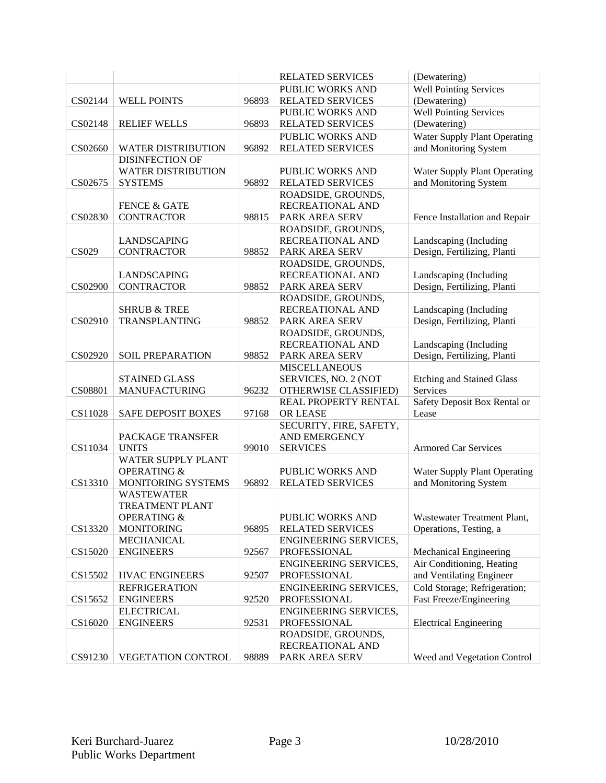|              |                           |       | <b>RELATED SERVICES</b>      | (Dewatering)                        |
|--------------|---------------------------|-------|------------------------------|-------------------------------------|
|              |                           |       | PUBLIC WORKS AND             | <b>Well Pointing Services</b>       |
| CS02144      | <b>WELL POINTS</b>        | 96893 | <b>RELATED SERVICES</b>      | (Dewatering)                        |
|              |                           |       | PUBLIC WORKS AND             | Well Pointing Services              |
| CS02148      | <b>RELIEF WELLS</b>       | 96893 | <b>RELATED SERVICES</b>      | (Dewatering)                        |
|              |                           |       | <b>PUBLIC WORKS AND</b>      | <b>Water Supply Plant Operating</b> |
| CS02660      | <b>WATER DISTRIBUTION</b> | 96892 | <b>RELATED SERVICES</b>      | and Monitoring System               |
|              | <b>DISINFECTION OF</b>    |       |                              |                                     |
|              | <b>WATER DISTRIBUTION</b> |       | PUBLIC WORKS AND             | <b>Water Supply Plant Operating</b> |
| CS02675      | <b>SYSTEMS</b>            | 96892 | <b>RELATED SERVICES</b>      | and Monitoring System               |
|              |                           |       |                              |                                     |
|              |                           |       | ROADSIDE, GROUNDS,           |                                     |
|              | <b>FENCE &amp; GATE</b>   |       | RECREATIONAL AND             |                                     |
| CS02830      | <b>CONTRACTOR</b>         | 98815 | PARK AREA SERV               | Fence Installation and Repair       |
|              |                           |       | ROADSIDE, GROUNDS,           |                                     |
|              | LANDSCAPING               |       | RECREATIONAL AND             | Landscaping (Including              |
| <b>CS029</b> | <b>CONTRACTOR</b>         | 98852 | PARK AREA SERV               | Design, Fertilizing, Planti         |
|              |                           |       | ROADSIDE, GROUNDS,           |                                     |
|              | <b>LANDSCAPING</b>        |       | RECREATIONAL AND             | Landscaping (Including              |
| CS02900      | <b>CONTRACTOR</b>         | 98852 | PARK AREA SERV               | Design, Fertilizing, Planti         |
|              |                           |       | ROADSIDE, GROUNDS,           |                                     |
|              | <b>SHRUB &amp; TREE</b>   |       | RECREATIONAL AND             | Landscaping (Including              |
| CS02910      | TRANSPLANTING             | 98852 | PARK AREA SERV               | Design, Fertilizing, Planti         |
|              |                           |       | ROADSIDE, GROUNDS,           |                                     |
|              |                           |       | RECREATIONAL AND             | Landscaping (Including              |
| CS02920      | <b>SOIL PREPARATION</b>   | 98852 | PARK AREA SERV               | Design, Fertilizing, Planti         |
|              |                           |       | <b>MISCELLANEOUS</b>         |                                     |
|              | <b>STAINED GLASS</b>      |       | SERVICES, NO. 2 (NOT         | <b>Etching and Stained Glass</b>    |
| CS08801      | <b>MANUFACTURING</b>      | 96232 | OTHERWISE CLASSIFIED)        | Services                            |
|              |                           |       | REAL PROPERTY RENTAL         | Safety Deposit Box Rental or        |
| CS11028      | <b>SAFE DEPOSIT BOXES</b> | 97168 | OR LEASE                     | Lease                               |
|              |                           |       | SECURITY, FIRE, SAFETY,      |                                     |
|              | PACKAGE TRANSFER          |       | <b>AND EMERGENCY</b>         |                                     |
|              |                           |       |                              |                                     |
| CS11034      | <b>UNITS</b>              | 99010 | <b>SERVICES</b>              | <b>Armored Car Services</b>         |
|              | WATER SUPPLY PLANT        |       |                              |                                     |
|              | <b>OPERATING &amp;</b>    |       | PUBLIC WORKS AND             | <b>Water Supply Plant Operating</b> |
| CS13310      | MONITORING SYSTEMS        | 96892 | <b>RELATED SERVICES</b>      | and Monitoring System               |
|              | <b>WASTEWATER</b>         |       |                              |                                     |
|              | <b>TREATMENT PLANT</b>    |       |                              |                                     |
|              | <b>OPERATING &amp;</b>    |       | PUBLIC WORKS AND             | Wastewater Treatment Plant,         |
| CS13320      | <b>MONITORING</b>         | 96895 | <b>RELATED SERVICES</b>      | Operations, Testing, a              |
|              | <b>MECHANICAL</b>         |       | <b>ENGINEERING SERVICES,</b> |                                     |
| CS15020      | <b>ENGINEERS</b>          | 92567 | PROFESSIONAL                 | Mechanical Engineering              |
|              |                           |       | ENGINEERING SERVICES,        | Air Conditioning, Heating           |
| CS15502      | <b>HVAC ENGINEERS</b>     | 92507 | PROFESSIONAL                 | and Ventilating Engineer            |
|              | <b>REFRIGERATION</b>      |       | <b>ENGINEERING SERVICES,</b> | Cold Storage; Refrigeration;        |
| CS15652      | <b>ENGINEERS</b>          | 92520 | PROFESSIONAL                 | Fast Freeze/Engineering             |
|              | <b>ELECTRICAL</b>         |       | ENGINEERING SERVICES,        |                                     |
| CS16020      | <b>ENGINEERS</b>          | 92531 | PROFESSIONAL                 | <b>Electrical Engineering</b>       |
|              |                           |       | ROADSIDE, GROUNDS,           |                                     |
|              |                           |       | RECREATIONAL AND             |                                     |
|              |                           | 98889 |                              | Weed and Vegetation Control         |
| CS91230      | VEGETATION CONTROL        |       | PARK AREA SERV               |                                     |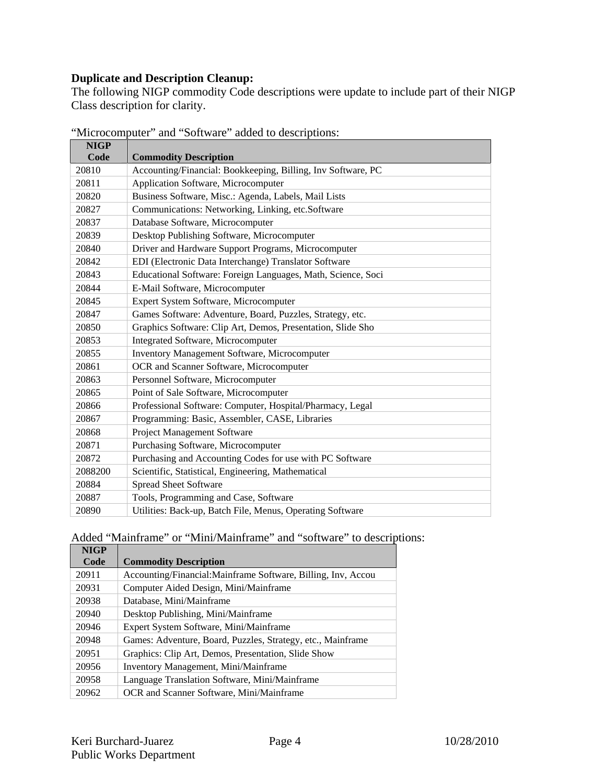## **Duplicate and Description Cleanup:**

The following NIGP commodity Code descriptions were update to include part of their NIGP Class description for clarity.

| <b>NIGP</b> |                                                              |
|-------------|--------------------------------------------------------------|
| Code        | <b>Commodity Description</b>                                 |
| 20810       | Accounting/Financial: Bookkeeping, Billing, Inv Software, PC |
| 20811       | Application Software, Microcomputer                          |
| 20820       | Business Software, Misc.: Agenda, Labels, Mail Lists         |
| 20827       | Communications: Networking, Linking, etc.Software            |
| 20837       | Database Software, Microcomputer                             |
| 20839       | Desktop Publishing Software, Microcomputer                   |
| 20840       | Driver and Hardware Support Programs, Microcomputer          |
| 20842       | EDI (Electronic Data Interchange) Translator Software        |
| 20843       | Educational Software: Foreign Languages, Math, Science, Soci |
| 20844       | E-Mail Software, Microcomputer                               |
| 20845       | Expert System Software, Microcomputer                        |
| 20847       | Games Software: Adventure, Board, Puzzles, Strategy, etc.    |
| 20850       | Graphics Software: Clip Art, Demos, Presentation, Slide Sho  |
| 20853       | Integrated Software, Microcomputer                           |
| 20855       | Inventory Management Software, Microcomputer                 |
| 20861       | OCR and Scanner Software, Microcomputer                      |
| 20863       | Personnel Software, Microcomputer                            |
| 20865       | Point of Sale Software, Microcomputer                        |
| 20866       | Professional Software: Computer, Hospital/Pharmacy, Legal    |
| 20867       | Programming: Basic, Assembler, CASE, Libraries               |
| 20868       | Project Management Software                                  |
| 20871       | Purchasing Software, Microcomputer                           |
| 20872       | Purchasing and Accounting Codes for use with PC Software     |
| 2088200     | Scientific, Statistical, Engineering, Mathematical           |
| 20884       | <b>Spread Sheet Software</b>                                 |
| 20887       | Tools, Programming and Case, Software                        |
| 20890       | Utilities: Back-up, Batch File, Menus, Operating Software    |

"Microcomputer" and "Software" added to descriptions:

### Added "Mainframe" or "Mini/Mainframe" and "software" to descriptions:

| <b>NIGP</b> |                                                              |
|-------------|--------------------------------------------------------------|
| Code        | <b>Commodity Description</b>                                 |
| 20911       | Accounting/Financial:Mainframe Software, Billing, Inv, Accou |
| 20931       | Computer Aided Design, Mini/Mainframe                        |
| 20938       | Database, Mini/Mainframe                                     |
| 20940       | Desktop Publishing, Mini/Mainframe                           |
| 20946       | Expert System Software, Mini/Mainframe                       |
| 20948       | Games: Adventure, Board, Puzzles, Strategy, etc., Mainframe  |
| 20951       | Graphics: Clip Art, Demos, Presentation, Slide Show          |
| 20956       | Inventory Management, Mini/Mainframe                         |
| 20958       | Language Translation Software, Mini/Mainframe                |
| 20962       | OCR and Scanner Software, Mini/Mainframe                     |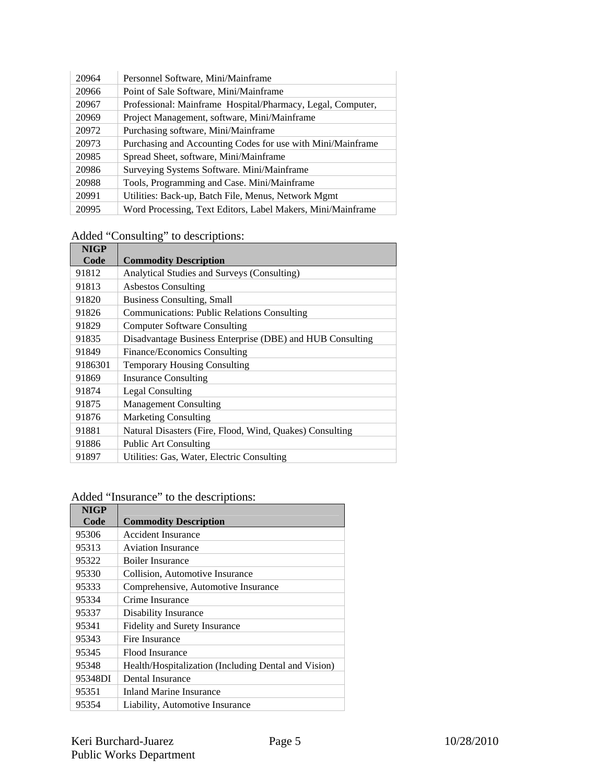| 20964 | Personnel Software, Mini/Mainframe                          |
|-------|-------------------------------------------------------------|
| 20966 | Point of Sale Software, Mini/Mainframe                      |
| 20967 | Professional: Mainframe Hospital/Pharmacy, Legal, Computer, |
| 20969 | Project Management, software, Mini/Mainframe                |
| 20972 | Purchasing software, Mini/Mainframe                         |
| 20973 | Purchasing and Accounting Codes for use with Mini/Mainframe |
| 20985 | Spread Sheet, software, Mini/Mainframe                      |
| 20986 | Surveying Systems Software. Mini/Mainframe                  |
| 20988 | Tools, Programming and Case. Mini/Mainframe                 |
| 20991 | Utilities: Back-up, Batch File, Menus, Network Mgmt         |
| 20995 | Word Processing, Text Editors, Label Makers, Mini/Mainframe |

# Added "Consulting" to descriptions:

| <b>NIGP</b> |                                                           |
|-------------|-----------------------------------------------------------|
| Code        | <b>Commodity Description</b>                              |
| 91812       | Analytical Studies and Surveys (Consulting)               |
| 91813       | <b>Asbestos Consulting</b>                                |
| 91820       | Business Consulting, Small                                |
| 91826       | <b>Communications: Public Relations Consulting</b>        |
| 91829       | <b>Computer Software Consulting</b>                       |
| 91835       | Disadvantage Business Enterprise (DBE) and HUB Consulting |
| 91849       | Finance/Economics Consulting                              |
| 9186301     | <b>Temporary Housing Consulting</b>                       |
| 91869       | <b>Insurance Consulting</b>                               |
| 91874       | <b>Legal Consulting</b>                                   |
| 91875       | <b>Management Consulting</b>                              |
| 91876       | <b>Marketing Consulting</b>                               |
| 91881       | Natural Disasters (Fire, Flood, Wind, Quakes) Consulting  |
| 91886       | <b>Public Art Consulting</b>                              |
| 91897       | Utilities: Gas, Water, Electric Consulting                |

# Added "Insurance" to the descriptions:

| <b>NIGP</b> |                                                      |
|-------------|------------------------------------------------------|
| Code        | <b>Commodity Description</b>                         |
| 95306       | Accident Insurance                                   |
| 95313       | <b>Aviation Insurance</b>                            |
| 95322       | <b>Boiler Insurance</b>                              |
| 95330       | Collision, Automotive Insurance                      |
| 95333       | Comprehensive, Automotive Insurance                  |
| 95334       | Crime Insurance                                      |
| 95337       | Disability Insurance                                 |
| 95341       | Fidelity and Surety Insurance                        |
| 95343       | Fire Insurance                                       |
| 95345       | Flood Insurance                                      |
| 95348       | Health/Hospitalization (Including Dental and Vision) |
| 95348DI     | Dental Insurance                                     |
| 95351       | Inland Marine Insurance                              |
| 95354       | Liability, Automotive Insurance                      |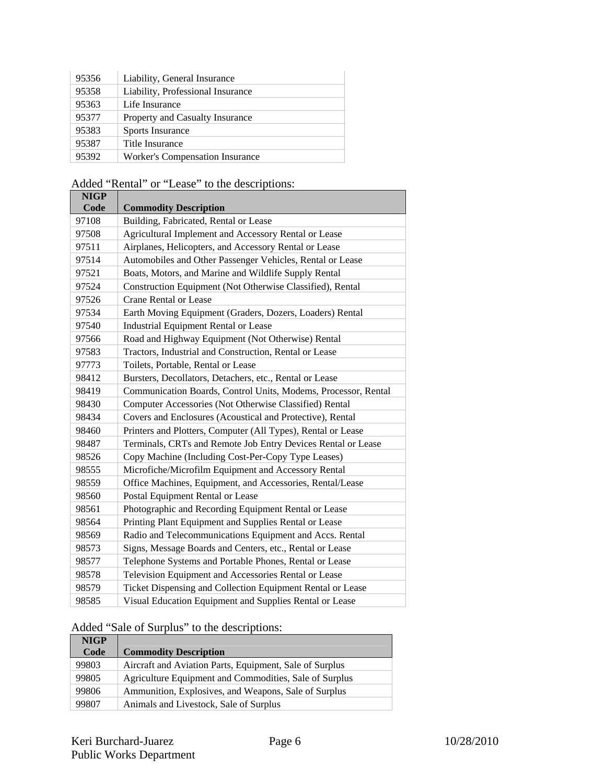| 95356 | Liability, General Insurance           |
|-------|----------------------------------------|
| 95358 | Liability, Professional Insurance      |
| 95363 | Life Insurance                         |
| 95377 | Property and Casualty Insurance        |
| 95383 | Sports Insurance                       |
| 95387 | Title Insurance                        |
| 95392 | <b>Worker's Compensation Insurance</b> |

Added "Rental" or "Lease" to the descriptions:

| <b>NIGP</b> |                                                                |
|-------------|----------------------------------------------------------------|
| Code        | <b>Commodity Description</b>                                   |
| 97108       | Building, Fabricated, Rental or Lease                          |
| 97508       | Agricultural Implement and Accessory Rental or Lease           |
| 97511       | Airplanes, Helicopters, and Accessory Rental or Lease          |
| 97514       | Automobiles and Other Passenger Vehicles, Rental or Lease      |
| 97521       | Boats, Motors, and Marine and Wildlife Supply Rental           |
| 97524       | Construction Equipment (Not Otherwise Classified), Rental      |
| 97526       | <b>Crane Rental or Lease</b>                                   |
| 97534       | Earth Moving Equipment (Graders, Dozers, Loaders) Rental       |
| 97540       | Industrial Equipment Rental or Lease                           |
| 97566       | Road and Highway Equipment (Not Otherwise) Rental              |
| 97583       | Tractors, Industrial and Construction, Rental or Lease         |
| 97773       | Toilets, Portable, Rental or Lease                             |
| 98412       | Bursters, Decollators, Detachers, etc., Rental or Lease        |
| 98419       | Communication Boards, Control Units, Modems, Processor, Rental |
| 98430       | Computer Accessories (Not Otherwise Classified) Rental         |
| 98434       | Covers and Enclosures (Acoustical and Protective), Rental      |
| 98460       | Printers and Plotters, Computer (All Types), Rental or Lease   |
| 98487       | Terminals, CRTs and Remote Job Entry Devices Rental or Lease   |
| 98526       | Copy Machine (Including Cost-Per-Copy Type Leases)             |
| 98555       | Microfiche/Microfilm Equipment and Accessory Rental            |
| 98559       | Office Machines, Equipment, and Accessories, Rental/Lease      |
| 98560       | Postal Equipment Rental or Lease                               |
| 98561       | Photographic and Recording Equipment Rental or Lease           |
| 98564       | Printing Plant Equipment and Supplies Rental or Lease          |
| 98569       | Radio and Telecommunications Equipment and Accs. Rental        |
| 98573       | Signs, Message Boards and Centers, etc., Rental or Lease       |
| 98577       | Telephone Systems and Portable Phones, Rental or Lease         |
| 98578       | Television Equipment and Accessories Rental or Lease           |
| 98579       | Ticket Dispensing and Collection Equipment Rental or Lease     |
| 98585       | Visual Education Equipment and Supplies Rental or Lease        |

#### Added "Sale of Surplus" to the descriptions:

| <b>NIGP</b> |                                                         |
|-------------|---------------------------------------------------------|
| Code        | <b>Commodity Description</b>                            |
| 99803       | Aircraft and Aviation Parts, Equipment, Sale of Surplus |
| 99805       | Agriculture Equipment and Commodities, Sale of Surplus  |
| 99806       | Ammunition, Explosives, and Weapons, Sale of Surplus    |
| 99807       | Animals and Livestock, Sale of Surplus                  |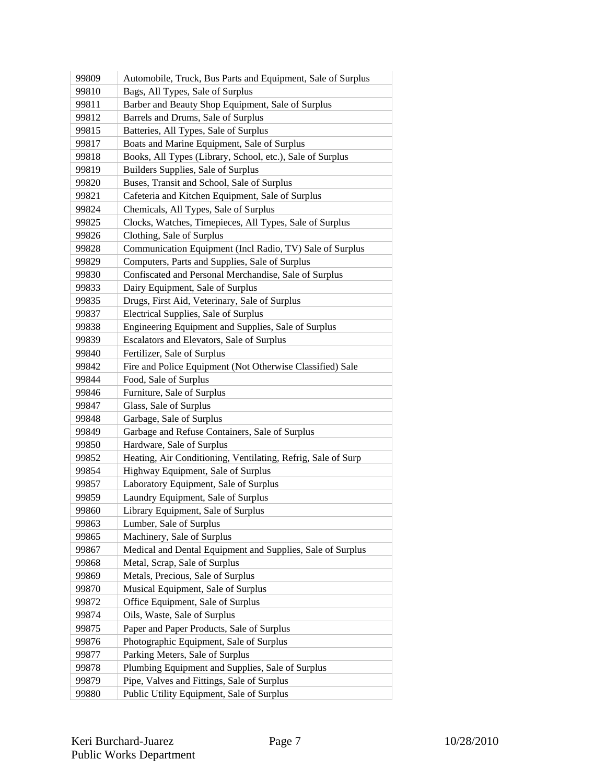| 99809 | Automobile, Truck, Bus Parts and Equipment, Sale of Surplus  |
|-------|--------------------------------------------------------------|
| 99810 | Bags, All Types, Sale of Surplus                             |
| 99811 | Barber and Beauty Shop Equipment, Sale of Surplus            |
| 99812 | Barrels and Drums, Sale of Surplus                           |
| 99815 | Batteries, All Types, Sale of Surplus                        |
| 99817 | Boats and Marine Equipment, Sale of Surplus                  |
| 99818 | Books, All Types (Library, School, etc.), Sale of Surplus    |
| 99819 | Builders Supplies, Sale of Surplus                           |
| 99820 | Buses, Transit and School, Sale of Surplus                   |
| 99821 | Cafeteria and Kitchen Equipment, Sale of Surplus             |
| 99824 | Chemicals, All Types, Sale of Surplus                        |
| 99825 | Clocks, Watches, Timepieces, All Types, Sale of Surplus      |
| 99826 | Clothing, Sale of Surplus                                    |
| 99828 | Communication Equipment (Incl Radio, TV) Sale of Surplus     |
| 99829 | Computers, Parts and Supplies, Sale of Surplus               |
| 99830 | Confiscated and Personal Merchandise, Sale of Surplus        |
| 99833 | Dairy Equipment, Sale of Surplus                             |
| 99835 | Drugs, First Aid, Veterinary, Sale of Surplus                |
| 99837 | Electrical Supplies, Sale of Surplus                         |
| 99838 | Engineering Equipment and Supplies, Sale of Surplus          |
| 99839 | Escalators and Elevators, Sale of Surplus                    |
| 99840 | Fertilizer, Sale of Surplus                                  |
| 99842 | Fire and Police Equipment (Not Otherwise Classified) Sale    |
| 99844 | Food, Sale of Surplus                                        |
| 99846 | Furniture, Sale of Surplus                                   |
| 99847 | Glass, Sale of Surplus                                       |
| 99848 | Garbage, Sale of Surplus                                     |
| 99849 | Garbage and Refuse Containers, Sale of Surplus               |
| 99850 | Hardware, Sale of Surplus                                    |
| 99852 | Heating, Air Conditioning, Ventilating, Refrig, Sale of Surp |
| 99854 | Highway Equipment, Sale of Surplus                           |
| 99857 | Laboratory Equipment, Sale of Surplus                        |
| 99859 | Laundry Equipment, Sale of Surplus                           |
| 99860 | Library Equipment, Sale of Surplus                           |
| 99863 | Lumber, Sale of Surplus                                      |
| 99865 | Machinery, Sale of Surplus                                   |
| 99867 | Medical and Dental Equipment and Supplies, Sale of Surplus   |
| 99868 | Metal, Scrap, Sale of Surplus                                |
| 99869 | Metals, Precious, Sale of Surplus                            |
| 99870 | Musical Equipment, Sale of Surplus                           |
| 99872 | Office Equipment, Sale of Surplus                            |
| 99874 | Oils, Waste, Sale of Surplus                                 |
| 99875 | Paper and Paper Products, Sale of Surplus                    |
| 99876 | Photographic Equipment, Sale of Surplus                      |
| 99877 | Parking Meters, Sale of Surplus                              |
| 99878 | Plumbing Equipment and Supplies, Sale of Surplus             |
| 99879 | Pipe, Valves and Fittings, Sale of Surplus                   |
| 99880 |                                                              |
|       | Public Utility Equipment, Sale of Surplus                    |